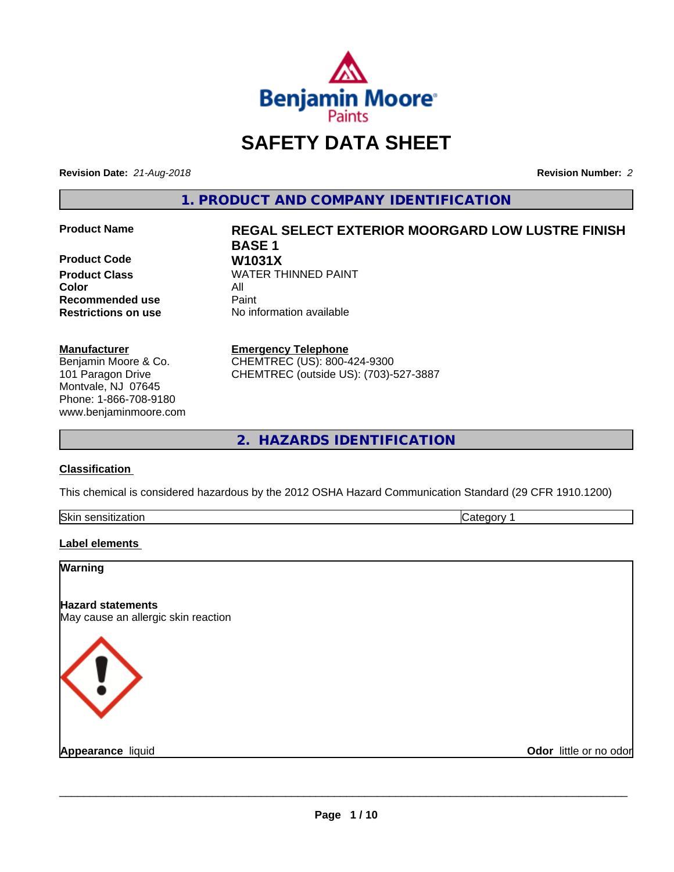

# **SAFETY DATA SHEET**

**Revision Date:** *21-Aug-2018* **Revision Number:** *2*

**1. PRODUCT AND COMPANY IDENTIFICATION**

**Product Code**<br>**Product Class Color Recommended use Caint** 

#### **Manufacturer**

Benjamin Moore & Co. 101 Paragon Drive Montvale, NJ 07645 Phone: 1-866-708-9180 www.benjaminmoore.com

# **Product Name REGAL SELECT EXTERIOR MOORGARD LOW LUSTRE FINISH BASE 1 WATER THINNED PAINT**<br>All

**Restrictions on use** No information available

**Emergency Telephone**

CHEMTREC (US): 800-424-9300 CHEMTREC (outside US): (703)-527-3887

**2. HAZARDS IDENTIFICATION**

#### **Classification**

This chemical is considered hazardous by the 2012 OSHA Hazard Communication Standard (29 CFR 1910.1200)

| Skin<br>------<br>dliuli<br>55U.<br> | . |
|--------------------------------------|---|
|                                      |   |

#### **Label elements**

| Warning                                                         |                        |
|-----------------------------------------------------------------|------------------------|
| <b>Hazard statements</b><br>May cause an allergic skin reaction |                        |
| K ! >                                                           |                        |
| Appearance liquid                                               | Odor little or no odor |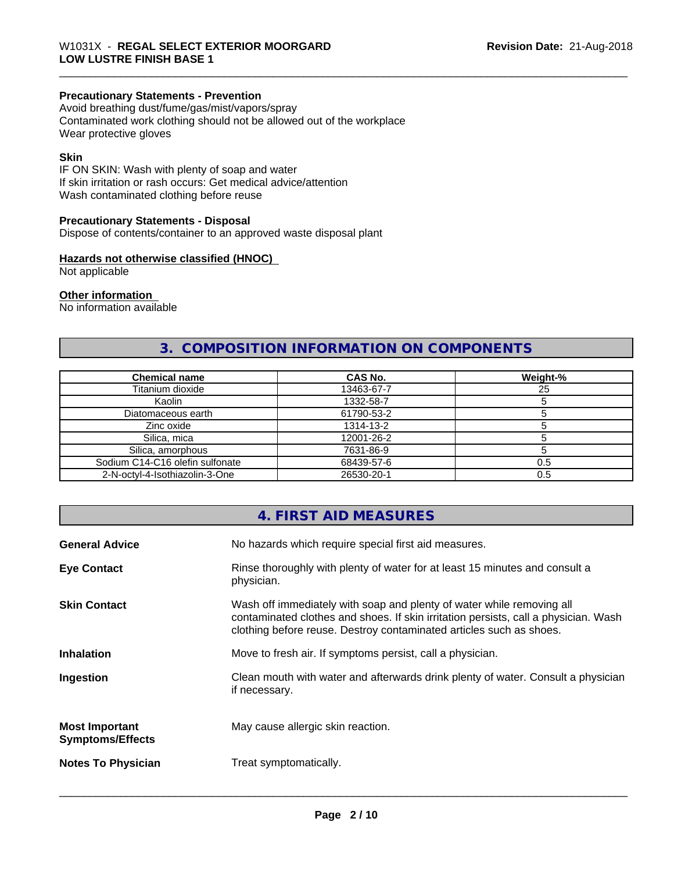## **Precautionary Statements - Prevention**

Avoid breathing dust/fume/gas/mist/vapors/spray Contaminated work clothing should not be allowed out of the workplace Wear protective gloves

#### **Skin**

IF ON SKIN: Wash with plenty of soap and water If skin irritation or rash occurs: Get medical advice/attention Wash contaminated clothing before reuse

#### **Precautionary Statements - Disposal**

Dispose of contents/container to an approved waste disposal plant

#### **Hazards not otherwise classified (HNOC)**

Not applicable

#### **Other information**

No information available

## **3. COMPOSITION INFORMATION ON COMPONENTS**

| <b>Chemical name</b>            | <b>CAS No.</b> | Weight-% |
|---------------------------------|----------------|----------|
| Titanium dioxide                | 13463-67-7     | 25       |
| Kaolin                          | 1332-58-7      |          |
| Diatomaceous earth              | 61790-53-2     |          |
| Zinc oxide                      | 1314-13-2      |          |
| Silica, mica                    | 12001-26-2     |          |
| Silica, amorphous               | 7631-86-9      |          |
| Sodium C14-C16 olefin sulfonate | 68439-57-6     | 0.5      |
| 2-N-octyl-4-Isothiazolin-3-One  | 26530-20-1     | 0.5      |

#### **4. FIRST AID MEASURES**

| <b>General Advice</b>                            | No hazards which require special first aid measures.                                                                                                                                                                                |
|--------------------------------------------------|-------------------------------------------------------------------------------------------------------------------------------------------------------------------------------------------------------------------------------------|
| <b>Eye Contact</b>                               | Rinse thoroughly with plenty of water for at least 15 minutes and consult a<br>physician.                                                                                                                                           |
| <b>Skin Contact</b>                              | Wash off immediately with soap and plenty of water while removing all<br>contaminated clothes and shoes. If skin irritation persists, call a physician. Wash<br>clothing before reuse. Destroy contaminated articles such as shoes. |
| <b>Inhalation</b>                                | Move to fresh air. If symptoms persist, call a physician.                                                                                                                                                                           |
| Ingestion                                        | Clean mouth with water and afterwards drink plenty of water. Consult a physician<br>if necessary.                                                                                                                                   |
| <b>Most Important</b><br><b>Symptoms/Effects</b> | May cause allergic skin reaction.                                                                                                                                                                                                   |
| <b>Notes To Physician</b>                        | Treat symptomatically.                                                                                                                                                                                                              |
|                                                  |                                                                                                                                                                                                                                     |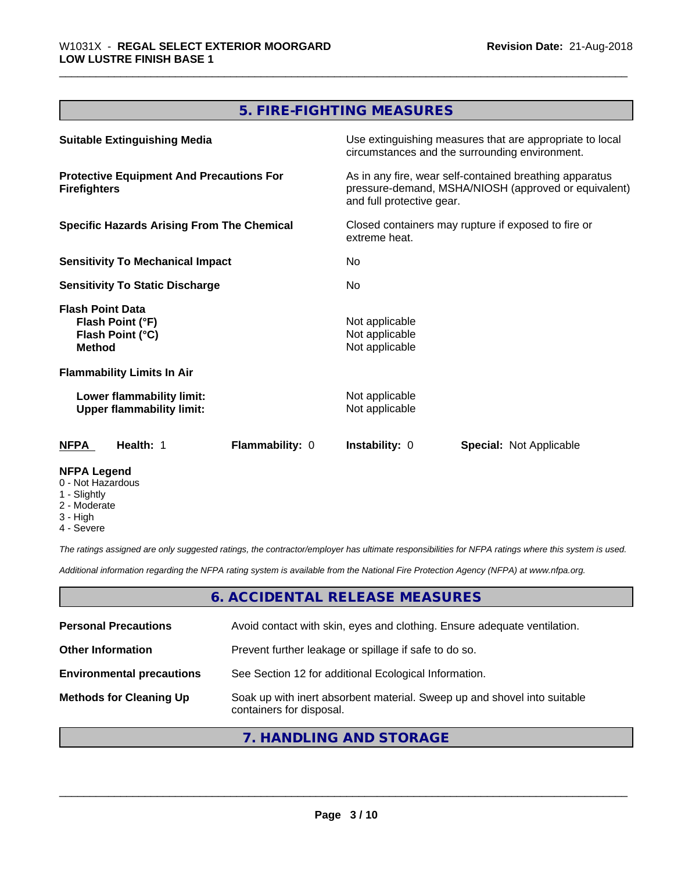## **5. FIRE-FIGHTING MEASURES**

| <b>Suitable Extinguishing Media</b>                                              | Use extinguishing measures that are appropriate to local<br>circumstances and the surrounding environment.                                   |  |
|----------------------------------------------------------------------------------|----------------------------------------------------------------------------------------------------------------------------------------------|--|
| <b>Protective Equipment And Precautions For</b><br><b>Firefighters</b>           | As in any fire, wear self-contained breathing apparatus<br>pressure-demand, MSHA/NIOSH (approved or equivalent)<br>and full protective gear. |  |
| <b>Specific Hazards Arising From The Chemical</b>                                | Closed containers may rupture if exposed to fire or<br>extreme heat.                                                                         |  |
| <b>Sensitivity To Mechanical Impact</b>                                          | No.                                                                                                                                          |  |
| <b>Sensitivity To Static Discharge</b>                                           | No.                                                                                                                                          |  |
| <b>Flash Point Data</b><br>Flash Point (°F)<br>Flash Point (°C)<br><b>Method</b> | Not applicable<br>Not applicable<br>Not applicable                                                                                           |  |
| <b>Flammability Limits In Air</b>                                                |                                                                                                                                              |  |
| Lower flammability limit:<br><b>Upper flammability limit:</b>                    | Not applicable<br>Not applicable                                                                                                             |  |
| <b>Flammability: 0</b><br>NFPA<br><b>Health: 1</b>                               | <b>Instability: 0</b><br><b>Special: Not Applicable</b>                                                                                      |  |
| <b>NFPA Legend</b><br>0 - Not Hazardous<br>1 - Slightly                          |                                                                                                                                              |  |

- 2 Moderate
- 
- 3 High
- 4 Severe

*The ratings assigned are only suggested ratings, the contractor/employer has ultimate responsibilities for NFPA ratings where this system is used.*

*Additional information regarding the NFPA rating system is available from the National Fire Protection Agency (NFPA) at www.nfpa.org.*

## **6. ACCIDENTAL RELEASE MEASURES**

| <b>Personal Precautions</b>      | Avoid contact with skin, eyes and clothing. Ensure adequate ventilation.                             |
|----------------------------------|------------------------------------------------------------------------------------------------------|
| <b>Other Information</b>         | Prevent further leakage or spillage if safe to do so.                                                |
| <b>Environmental precautions</b> | See Section 12 for additional Ecological Information.                                                |
| <b>Methods for Cleaning Up</b>   | Soak up with inert absorbent material. Sweep up and shovel into suitable<br>containers for disposal. |

## **7. HANDLING AND STORAGE**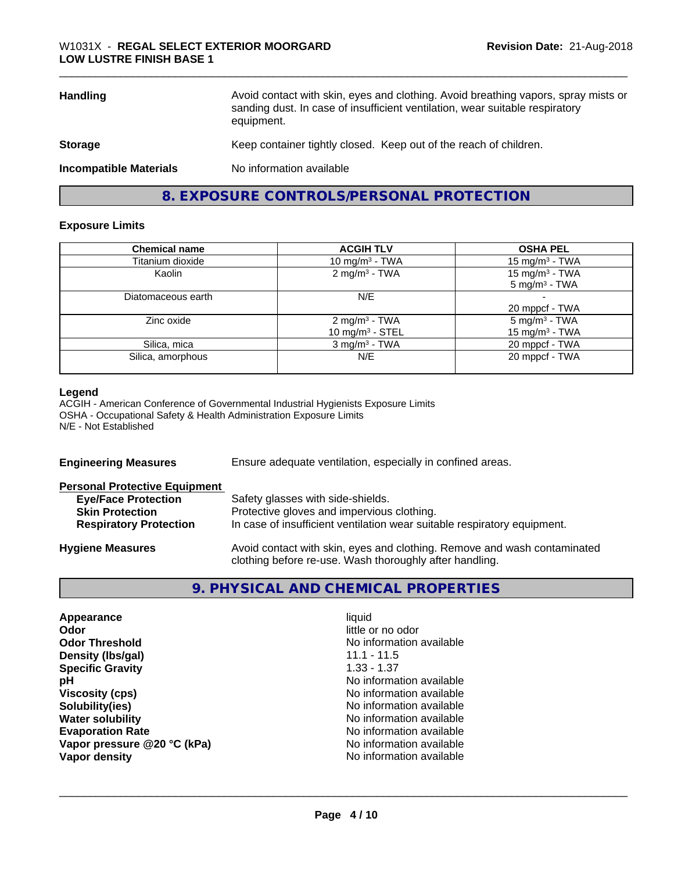| <b>Handling</b>               | Avoid contact with skin, eyes and clothing. Avoid breathing vapors, spray mists or<br>sanding dust. In case of insufficient ventilation, wear suitable respiratory<br>equipment. |
|-------------------------------|----------------------------------------------------------------------------------------------------------------------------------------------------------------------------------|
| <b>Storage</b>                | Keep container tightly closed. Keep out of the reach of children.                                                                                                                |
| <b>Incompatible Materials</b> | No information available                                                                                                                                                         |
|                               |                                                                                                                                                                                  |

**8. EXPOSURE CONTROLS/PERSONAL PROTECTION**

#### **Exposure Limits**

| <b>Chemical name</b> | <b>ACGIH TLV</b>                                | <b>OSHA PEL</b>                                        |
|----------------------|-------------------------------------------------|--------------------------------------------------------|
| Titanium dioxide     | 10 mg/m $3$ - TWA                               | 15 mg/m <sup>3</sup> - TWA                             |
| Kaolin               | 2 mg/m <sup>3</sup> - TWA                       | 15 mg/m <sup>3</sup> - TWA<br>$5 \text{ mg/m}^3$ - TWA |
| Diatomaceous earth   | N/E                                             | 20 mppcf - TWA                                         |
| Zinc oxide           | 2 mg/m <sup>3</sup> - TWA<br>10 mg/m $3 -$ STEL | $5 \text{ mg/m}^3$ - TWA<br>15 mg/m $3$ - TWA          |
| Silica, mica         | $3$ mg/m <sup>3</sup> - TWA                     | 20 mppcf - TWA                                         |
| Silica, amorphous    | N/E                                             | 20 mppcf - TWA                                         |

#### **Legend**

ACGIH - American Conference of Governmental Industrial Hygienists Exposure Limits OSHA - Occupational Safety & Health Administration Exposure Limits N/E - Not Established

| <b>Engineering Measures</b>          | Ensure adequate ventilation, especially in confined areas.                                                                          |  |
|--------------------------------------|-------------------------------------------------------------------------------------------------------------------------------------|--|
| <b>Personal Protective Equipment</b> |                                                                                                                                     |  |
| <b>Eye/Face Protection</b>           | Safety glasses with side-shields.                                                                                                   |  |
| <b>Skin Protection</b>               | Protective gloves and impervious clothing.                                                                                          |  |
| <b>Respiratory Protection</b>        | In case of insufficient ventilation wear suitable respiratory equipment.                                                            |  |
| <b>Hygiene Measures</b>              | Avoid contact with skin, eyes and clothing. Remove and wash contaminated<br>clothing before re-use. Wash thoroughly after handling. |  |
|                                      |                                                                                                                                     |  |

## **9. PHYSICAL AND CHEMICAL PROPERTIES**

| Appearance                  |
|-----------------------------|
| Odor                        |
| <b>Odor Threshold</b>       |
| Density (Ibs/gal)           |
| <b>Specific Gravity</b>     |
| рH                          |
| <b>Viscosity (cps)</b>      |
| Solubility(ies)             |
| <b>Water solubility</b>     |
| <b>Evaporation Rate</b>     |
| Vapor pressure @20 °C (kPa) |
| Vapor density               |
|                             |

**Appearance** and the contract of the contract of the contract of the contract of the contract of the contract of the contract of the contract of the contract of the contract of the contract of the contract of the contract little or no odor **No information available** 11.1 - 11.5 **Specific Gravity** 1.33 - 1.37 **No information available Viscosity (cps)** No information available **Solubility(ies)** No information available **No information available No information available Vapor pressure @20 °C (kPa)** No information available **No information available**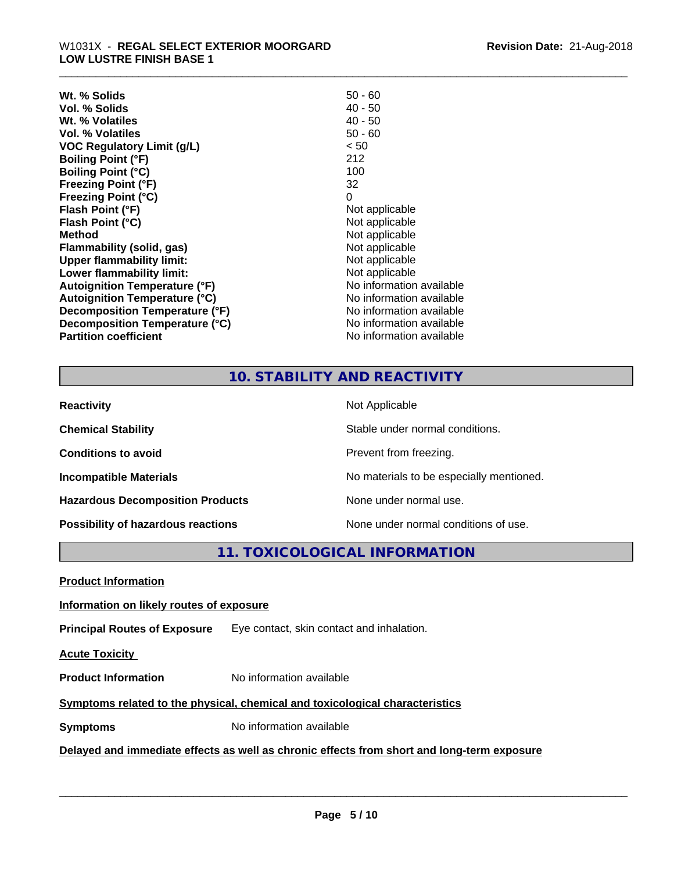| $50 - 60$                |
|--------------------------|
| $40 - 50$                |
| $40 - 50$                |
| $50 - 60$                |
| < 50                     |
| 212                      |
| 100                      |
| 32                       |
| 0                        |
| Not applicable           |
| Not applicable           |
| Not applicable           |
| Not applicable           |
| Not applicable           |
| Not applicable           |
| No information available |
| No information available |
| No information available |
| No information available |
| No information available |
|                          |

## **10. STABILITY AND REACTIVITY**

| <b>Reactivity</b>                       | Not Applicable                           |
|-----------------------------------------|------------------------------------------|
| <b>Chemical Stability</b>               | Stable under normal conditions.          |
| <b>Conditions to avoid</b>              | Prevent from freezing.                   |
| <b>Incompatible Materials</b>           | No materials to be especially mentioned. |
| <b>Hazardous Decomposition Products</b> | None under normal use.                   |
| Possibility of hazardous reactions      | None under normal conditions of use.     |

**11. TOXICOLOGICAL INFORMATION**

**Product Information**

#### **Information on likely routes of exposure**

**Principal Routes of Exposure** Eye contact, skin contact and inhalation.

**Acute Toxicity** 

**Product Information** No information available

### **Symptoms** related to the physical, chemical and toxicological characteristics

**Symptoms** No information available

## **Delayed and immediate effects as well as chronic effects from short and long-term exposure**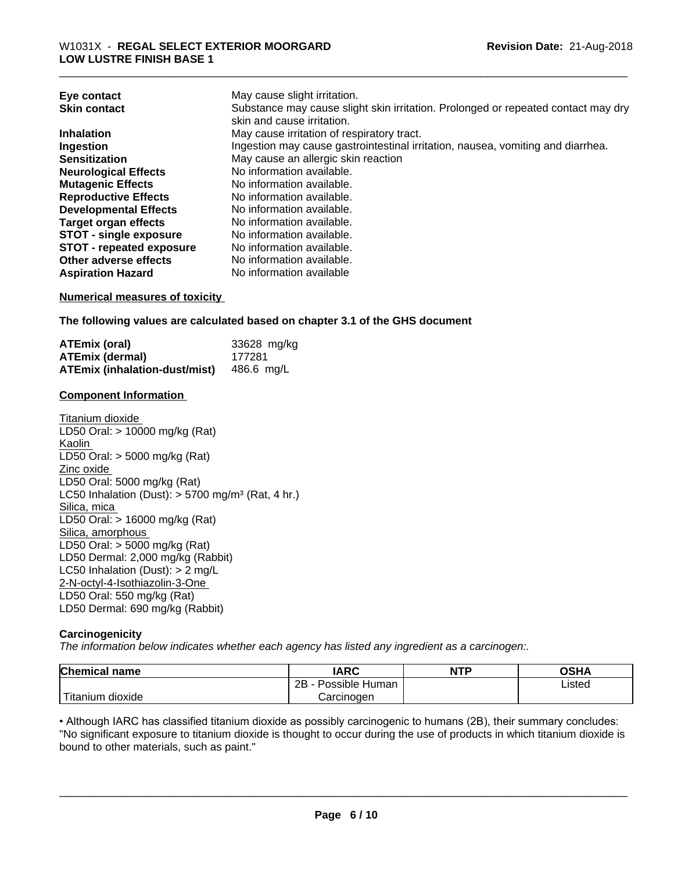| Eye contact                     | May cause slight irritation.                                                      |
|---------------------------------|-----------------------------------------------------------------------------------|
| <b>Skin contact</b>             | Substance may cause slight skin irritation. Prolonged or repeated contact may dry |
|                                 | skin and cause irritation.                                                        |
| <b>Inhalation</b>               | May cause irritation of respiratory tract.                                        |
| Ingestion                       | Ingestion may cause gastrointestinal irritation, nausea, vomiting and diarrhea.   |
| <b>Sensitization</b>            | May cause an allergic skin reaction                                               |
| <b>Neurological Effects</b>     | No information available.                                                         |
| <b>Mutagenic Effects</b>        | No information available.                                                         |
| <b>Reproductive Effects</b>     | No information available.                                                         |
| <b>Developmental Effects</b>    | No information available.                                                         |
| <b>Target organ effects</b>     | No information available.                                                         |
| <b>STOT - single exposure</b>   | No information available.                                                         |
| <b>STOT - repeated exposure</b> | No information available.                                                         |
| Other adverse effects           | No information available.                                                         |
| <b>Aspiration Hazard</b>        | No information available                                                          |

#### **Numerical measures of toxicity**

**The following values are calculated based on chapter 3.1 of the GHS document**

| ATEmix (oral)                            | 33628 mg/kg |
|------------------------------------------|-------------|
| <b>ATEmix (dermal)</b>                   | 177281      |
| ATEmix (inhalation-dust/mist) 486.6 mg/L |             |

#### **Component Information**

Titanium dioxide LD50 Oral: > 10000 mg/kg (Rat) Kaolin LD50 Oral: > 5000 mg/kg (Rat) Zinc oxide LD50 Oral: 5000 mg/kg (Rat) LC50 Inhalation (Dust):  $> 5700$  mg/m<sup>3</sup> (Rat, 4 hr.) Silica, mica LD50 Oral: > 16000 mg/kg (Rat) Silica, amorphous LD50 Oral: > 5000 mg/kg (Rat) LD50 Dermal: 2,000 mg/kg (Rabbit) LC50 Inhalation (Dust): > 2 mg/L 2-N-octyl-4-Isothiazolin-3-One LD50 Oral: 550 mg/kg (Rat) LD50 Dermal: 690 mg/kg (Rabbit)

#### **Carcinogenicity**

*The information below indicateswhether each agency has listed any ingredient as a carcinogen:.*

| <b>Chemical name</b>                                                                                                                            | <b>IARC</b>                    | <b>NTP</b> | ∩≈⊔∧<br>JJ⊓⊬ |
|-------------------------------------------------------------------------------------------------------------------------------------------------|--------------------------------|------------|--------------|
|                                                                                                                                                 | . .<br>2B<br>Possible<br>Human |            | Listed       |
| <b>The Contract of the Contract of the Contract of the Contract of the Contract of the Contract of the Contract o</b><br>n dioxide<br>l itanıum | Carcinoɑen                     |            |              |

• Although IARC has classified titanium dioxide as possibly carcinogenic to humans (2B), their summary concludes: "No significant exposure to titanium dioxide is thought to occur during the use of products in which titanium dioxide is bound to other materials, such as paint."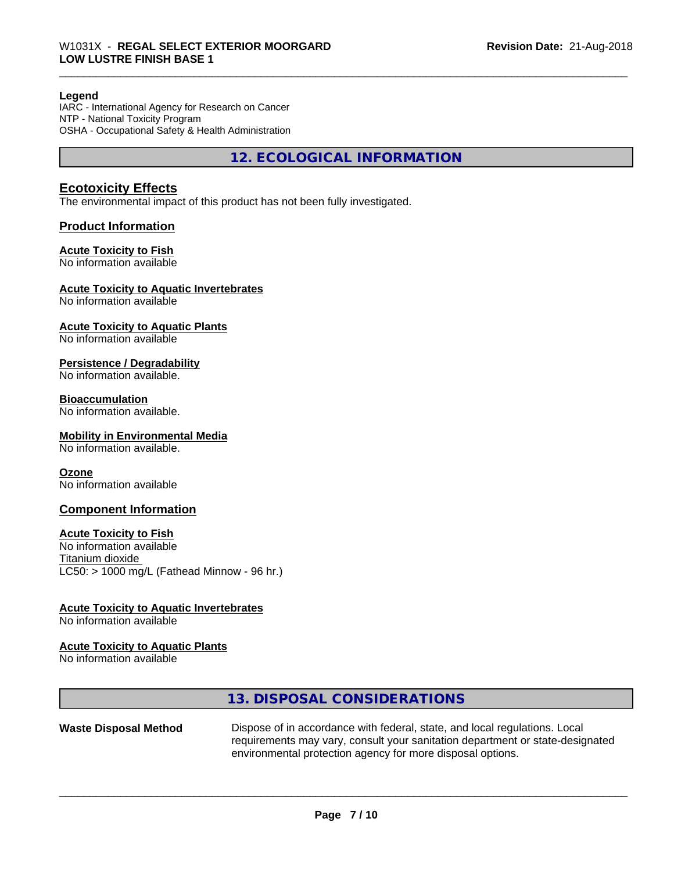#### **Legend**

IARC - International Agency for Research on Cancer NTP - National Toxicity Program OSHA - Occupational Safety & Health Administration

**12. ECOLOGICAL INFORMATION**

#### **Ecotoxicity Effects**

The environmental impact of this product has not been fully investigated.

#### **Product Information**

#### **Acute Toxicity to Fish**

No information available

#### **Acute Toxicity to Aquatic Invertebrates**

No information available

## **Acute Toxicity to Aquatic Plants**

No information available

#### **Persistence / Degradability**

No information available.

### **Bioaccumulation**

No information available.

#### **Mobility in Environmental Media**

No information available.

#### **Ozone**

No information available

#### **Component Information**

#### **Acute Toxicity to Fish**

No information available Titanium dioxide  $LC50:$  > 1000 mg/L (Fathead Minnow - 96 hr.)

#### **Acute Toxicity to Aquatic Invertebrates**

No information available

#### **Acute Toxicity to Aquatic Plants**

No information available

#### **13. DISPOSAL CONSIDERATIONS**

**Waste Disposal Method** Dispose of in accordance with federal, state, and local regulations. Local requirements may vary, consult your sanitation department or state-designated environmental protection agency for more disposal options.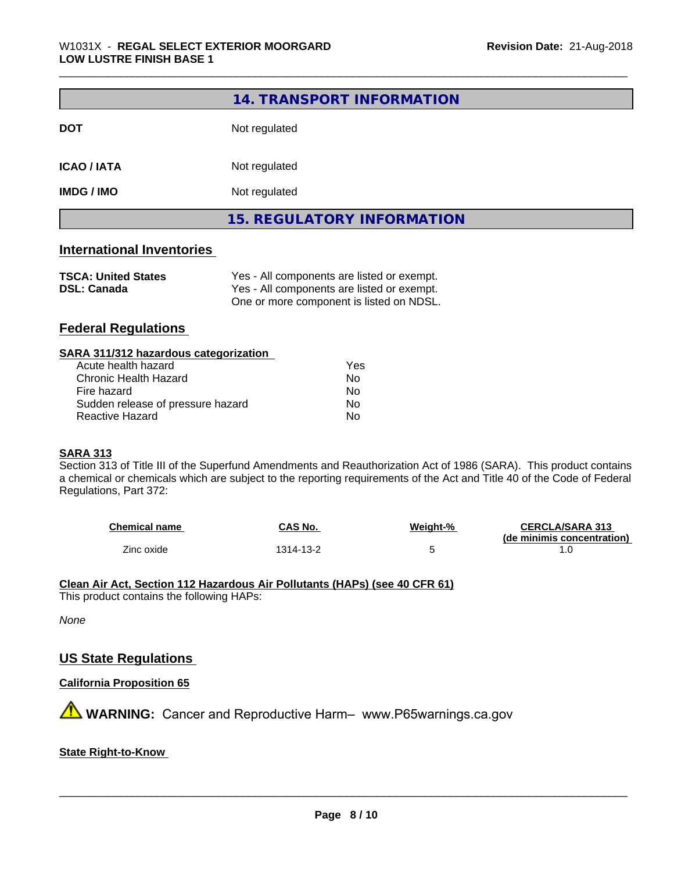|                                  | 14. TRANSPORT INFORMATION         |  |  |
|----------------------------------|-----------------------------------|--|--|
| <b>DOT</b>                       | Not regulated                     |  |  |
| <b>ICAO / IATA</b>               | Not regulated                     |  |  |
| <b>IMDG / IMO</b>                | Not regulated                     |  |  |
|                                  | <b>15. REGULATORY INFORMATION</b> |  |  |
| <b>International Inventories</b> |                                   |  |  |

| <b>TSCA: United States</b> | Yes - All components are listed or exempt. |
|----------------------------|--------------------------------------------|
| <b>DSL: Canada</b>         | Yes - All components are listed or exempt. |
|                            | One or more component is listed on NDSL.   |

## **Federal Regulations**

| Yes |  |
|-----|--|
| Nο  |  |
| Nο  |  |
| No  |  |
| No  |  |
|     |  |

#### **SARA 313**

Section 313 of Title III of the Superfund Amendments and Reauthorization Act of 1986 (SARA). This product contains a chemical or chemicals which are subject to the reporting requirements of the Act and Title 40 of the Code of Federal Regulations, Part 372:

| <b>Chemical name</b> | CAS No.   | Weight-% | <b>CERCLA/SARA 313</b>     |
|----------------------|-----------|----------|----------------------------|
|                      |           |          | (de minimis concentration) |
| Zinc oxide           | '314-13-2 |          |                            |

# **Clean Air Act,Section 112 Hazardous Air Pollutants (HAPs) (see 40 CFR 61)**

This product contains the following HAPs:

*None*

## **US State Regulations**

#### **California Proposition 65**

**A WARNING:** Cancer and Reproductive Harm– www.P65warnings.ca.gov

#### **State Right-to-Know**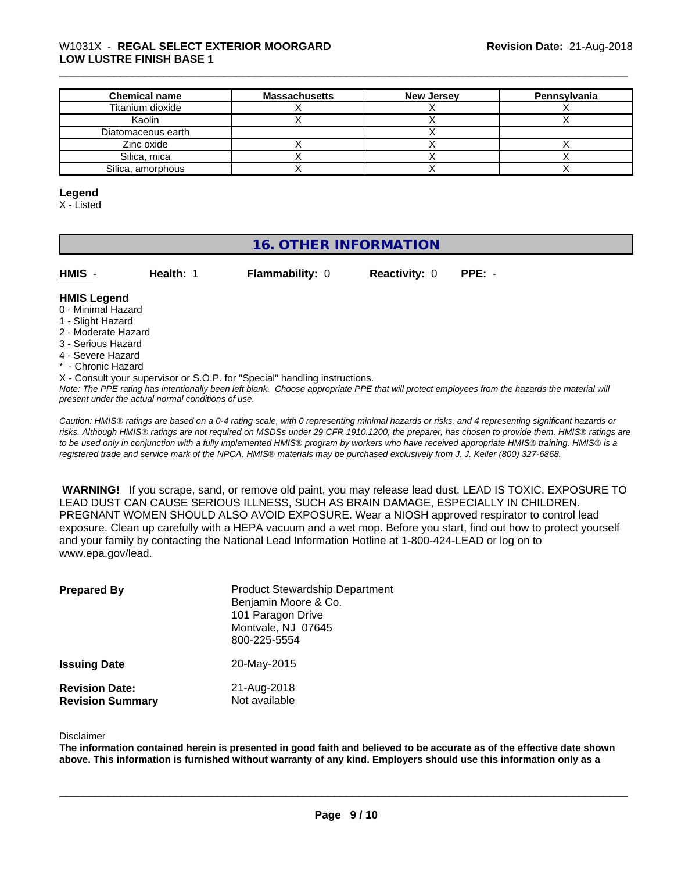# \_\_\_\_\_\_\_\_\_\_\_\_\_\_\_\_\_\_\_\_\_\_\_\_\_\_\_\_\_\_\_\_\_\_\_\_\_\_\_\_\_\_\_\_\_\_\_\_\_\_\_\_\_\_\_\_\_\_\_\_\_\_\_\_\_\_\_\_\_\_\_\_\_\_\_\_\_\_\_\_\_\_\_\_\_\_\_\_\_\_\_\_\_ W1031X - **REGAL SELECT EXTERIOR MOORGARD LOW LUSTRE FINISH BASE 1**

| <b>Chemical name</b> | <b>Massachusetts</b> | <b>New Jersey</b> | Pennsylvania |
|----------------------|----------------------|-------------------|--------------|
| Titanium dioxide     |                      |                   |              |
| Kaolin               |                      |                   |              |
| Diatomaceous earth   |                      |                   |              |
| Zinc oxide           |                      |                   |              |
| Silica, mica         |                      |                   |              |
| Silica, amorphous    |                      |                   |              |

#### **Legend**

X - Listed

## **16. OTHER INFORMATION**

|   | . |  |  |
|---|---|--|--|
| I | N |  |  |

**Health: 1 Flammability: 0 Reactivity: 0 PPE: -**

#### **HMIS Legend**

- 0 Minimal Hazard
- 1 Slight Hazard
- 2 Moderate Hazard
- 3 Serious Hazard
- 4 Severe Hazard
- \* Chronic Hazard
- X Consult your supervisor or S.O.P. for "Special" handling instructions.

*Note: The PPE rating has intentionally been left blank. Choose appropriate PPE that will protect employees from the hazards the material will present under the actual normal conditions of use.*

*Caution: HMISÒ ratings are based on a 0-4 rating scale, with 0 representing minimal hazards or risks, and 4 representing significant hazards or risks. Although HMISÒ ratings are not required on MSDSs under 29 CFR 1910.1200, the preparer, has chosen to provide them. HMISÒ ratings are to be used only in conjunction with a fully implemented HMISÒ program by workers who have received appropriate HMISÒ training. HMISÒ is a registered trade and service mark of the NPCA. HMISÒ materials may be purchased exclusively from J. J. Keller (800) 327-6868.*

 **WARNING!** If you scrape, sand, or remove old paint, you may release lead dust. LEAD IS TOXIC. EXPOSURE TO LEAD DUST CAN CAUSE SERIOUS ILLNESS, SUCH AS BRAIN DAMAGE, ESPECIALLY IN CHILDREN. PREGNANT WOMEN SHOULD ALSO AVOID EXPOSURE.Wear a NIOSH approved respirator to control lead exposure. Clean up carefully with a HEPA vacuum and a wet mop. Before you start, find out how to protect yourself and your family by contacting the National Lead Information Hotline at 1-800-424-LEAD or log on to www.epa.gov/lead.

| <b>Prepared By</b>                               | <b>Product Stewardship Department</b><br>Benjamin Moore & Co.<br>101 Paragon Drive<br>Montvale, NJ 07645<br>800-225-5554 |
|--------------------------------------------------|--------------------------------------------------------------------------------------------------------------------------|
| <b>Issuing Date</b>                              | 20-May-2015                                                                                                              |
| <b>Revision Date:</b><br><b>Revision Summary</b> | 21-Aug-2018<br>Not available                                                                                             |

#### Disclaimer

The information contained herein is presented in good faith and believed to be accurate as of the effective date shown above. This information is furnished without warranty of any kind. Employers should use this information only as a